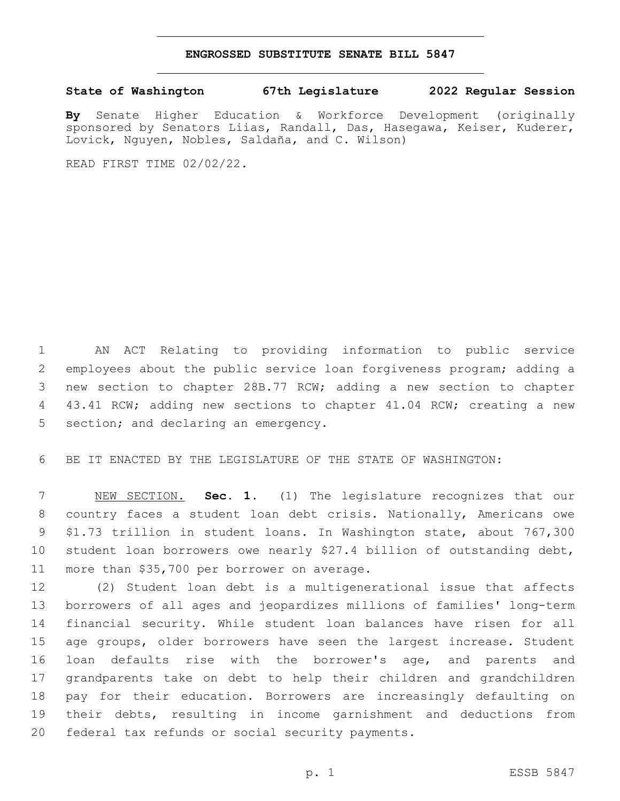## **ENGROSSED SUBSTITUTE SENATE BILL 5847**

## **State of Washington 67th Legislature 2022 Regular Session**

**By** Senate Higher Education & Workforce Development (originally sponsored by Senators Liias, Randall, Das, Hasegawa, Keiser, Kuderer, Lovick, Nguyen, Nobles, Saldaña, and C. Wilson)

READ FIRST TIME 02/02/22.

 AN ACT Relating to providing information to public service employees about the public service loan forgiveness program; adding a new section to chapter 28B.77 RCW; adding a new section to chapter 4 43.41 RCW; adding new sections to chapter 41.04 RCW; creating a new 5 section; and declaring an emergency.

BE IT ENACTED BY THE LEGISLATURE OF THE STATE OF WASHINGTON:

 NEW SECTION. **Sec. 1.** (1) The legislature recognizes that our country faces a student loan debt crisis. Nationally, Americans owe \$1.73 trillion in student loans. In Washington state, about 767,300 student loan borrowers owe nearly \$27.4 billion of outstanding debt, more than \$35,700 per borrower on average.

 (2) Student loan debt is a multigenerational issue that affects borrowers of all ages and jeopardizes millions of families' long-term financial security. While student loan balances have risen for all age groups, older borrowers have seen the largest increase. Student loan defaults rise with the borrower's age, and parents and grandparents take on debt to help their children and grandchildren pay for their education. Borrowers are increasingly defaulting on their debts, resulting in income garnishment and deductions from 20 federal tax refunds or social security payments.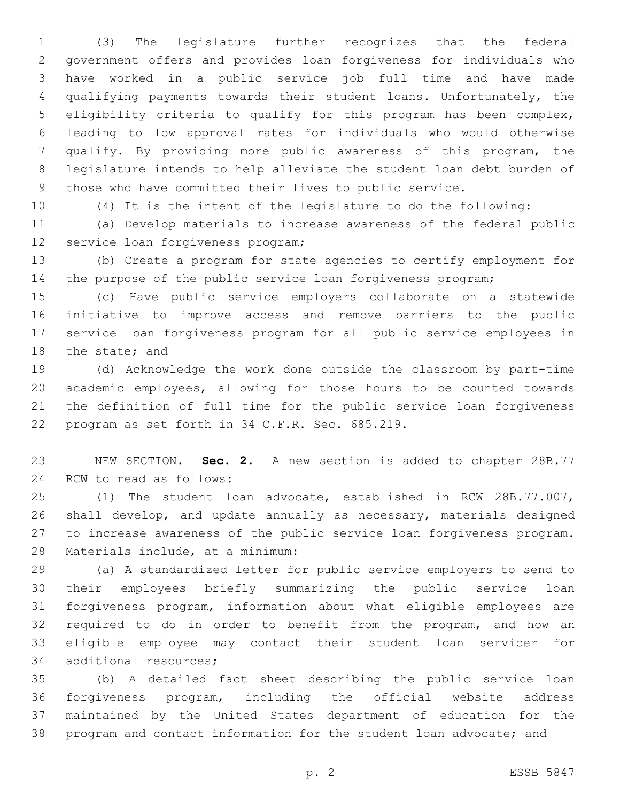(3) The legislature further recognizes that the federal government offers and provides loan forgiveness for individuals who have worked in a public service job full time and have made qualifying payments towards their student loans. Unfortunately, the eligibility criteria to qualify for this program has been complex, leading to low approval rates for individuals who would otherwise qualify. By providing more public awareness of this program, the legislature intends to help alleviate the student loan debt burden of those who have committed their lives to public service.

(4) It is the intent of the legislature to do the following:

 (a) Develop materials to increase awareness of the federal public 12 service loan forgiveness program;

 (b) Create a program for state agencies to certify employment for the purpose of the public service loan forgiveness program;

 (c) Have public service employers collaborate on a statewide initiative to improve access and remove barriers to the public service loan forgiveness program for all public service employees in 18 the state; and

 (d) Acknowledge the work done outside the classroom by part-time academic employees, allowing for those hours to be counted towards the definition of full time for the public service loan forgiveness 22 program as set forth in 34 C.F.R. Sec. 685.219.

 NEW SECTION. **Sec. 2.** A new section is added to chapter 28B.77 24 RCW to read as follows:

 (1) The student loan advocate, established in RCW 28B.77.007, shall develop, and update annually as necessary, materials designed to increase awareness of the public service loan forgiveness program. 28 Materials include, at a minimum:

 (a) A standardized letter for public service employers to send to their employees briefly summarizing the public service loan forgiveness program, information about what eligible employees are required to do in order to benefit from the program, and how an eligible employee may contact their student loan servicer for 34 additional resources;

 (b) A detailed fact sheet describing the public service loan forgiveness program, including the official website address maintained by the United States department of education for the program and contact information for the student loan advocate; and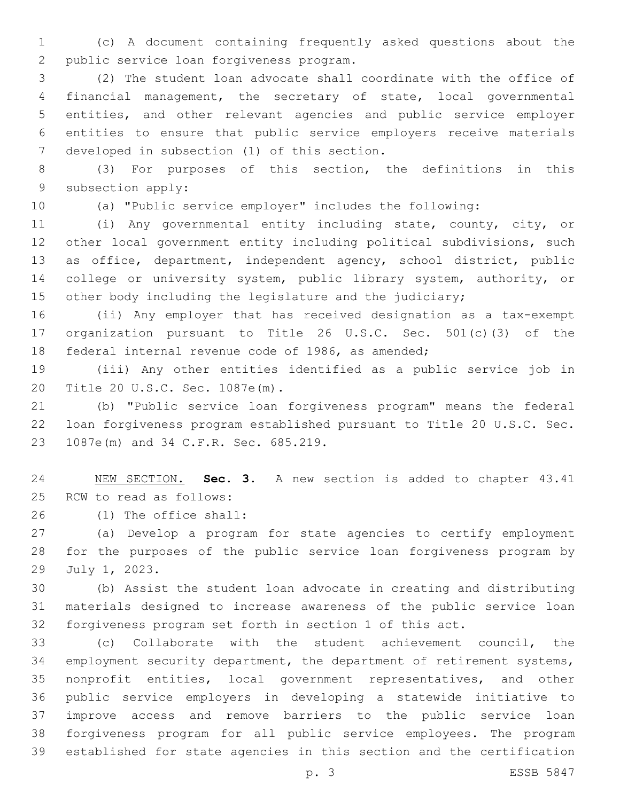(c) A document containing frequently asked questions about the 2 public service loan forgiveness program.

 (2) The student loan advocate shall coordinate with the office of financial management, the secretary of state, local governmental entities, and other relevant agencies and public service employer entities to ensure that public service employers receive materials 7 developed in subsection (1) of this section.

 (3) For purposes of this section, the definitions in this 9 subsection apply:

(a) "Public service employer" includes the following:

 (i) Any governmental entity including state, county, city, or other local government entity including political subdivisions, such as office, department, independent agency, school district, public 14 college or university system, public library system, authority, or 15 other body including the legislature and the judiciary;

 (ii) Any employer that has received designation as a tax-exempt organization pursuant to Title 26 U.S.C. Sec. 501(c)(3) of the federal internal revenue code of 1986, as amended;

 (iii) Any other entities identified as a public service job in 20 Title 20 U.S.C. Sec. 1087e(m).

 (b) "Public service loan forgiveness program" means the federal loan forgiveness program established pursuant to Title 20 U.S.C. Sec. 23 1087e(m) and 34 C.F.R. Sec. 685.219.

 NEW SECTION. **Sec. 3.** A new section is added to chapter 43.41 25 RCW to read as follows:

(1) The office shall:26

 (a) Develop a program for state agencies to certify employment for the purposes of the public service loan forgiveness program by 29 July 1, 2023.

 (b) Assist the student loan advocate in creating and distributing materials designed to increase awareness of the public service loan forgiveness program set forth in section 1 of this act.

 (c) Collaborate with the student achievement council, the employment security department, the department of retirement systems, nonprofit entities, local government representatives, and other public service employers in developing a statewide initiative to improve access and remove barriers to the public service loan forgiveness program for all public service employees. The program established for state agencies in this section and the certification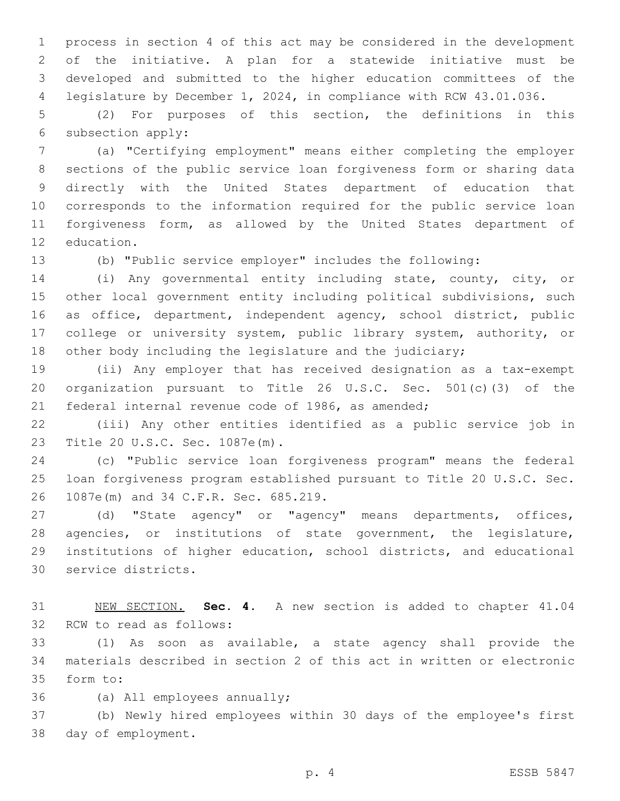process in section 4 of this act may be considered in the development of the initiative. A plan for a statewide initiative must be developed and submitted to the higher education committees of the legislature by December 1, 2024, in compliance with RCW 43.01.036.

 (2) For purposes of this section, the definitions in this 6 subsection apply:

 (a) "Certifying employment" means either completing the employer sections of the public service loan forgiveness form or sharing data directly with the United States department of education that corresponds to the information required for the public service loan forgiveness form, as allowed by the United States department of 12 education.

 (b) "Public service employer" includes the following: (i) Any governmental entity including state, county, city, or

 other local government entity including political subdivisions, such as office, department, independent agency, school district, public college or university system, public library system, authority, or other body including the legislature and the judiciary;

 (ii) Any employer that has received designation as a tax-exempt organization pursuant to Title 26 U.S.C. Sec. 501(c)(3) of the federal internal revenue code of 1986, as amended;

 (iii) Any other entities identified as a public service job in 23 Title 20 U.S.C. Sec. 1087e(m).

 (c) "Public service loan forgiveness program" means the federal loan forgiveness program established pursuant to Title 20 U.S.C. Sec. 26 1087e(m) and 34 C.F.R. Sec. 685.219.

 (d) "State agency" or "agency" means departments, offices, agencies, or institutions of state government, the legislature, institutions of higher education, school districts, and educational 30 service districts.

 NEW SECTION. **Sec. 4.** A new section is added to chapter 41.04 32 RCW to read as follows:

 (1) As soon as available, a state agency shall provide the materials described in section 2 of this act in written or electronic 35 form to:

36 (a) All employees annually;

 (b) Newly hired employees within 30 days of the employee's first 38 day of employment.

p. 4 ESSB 5847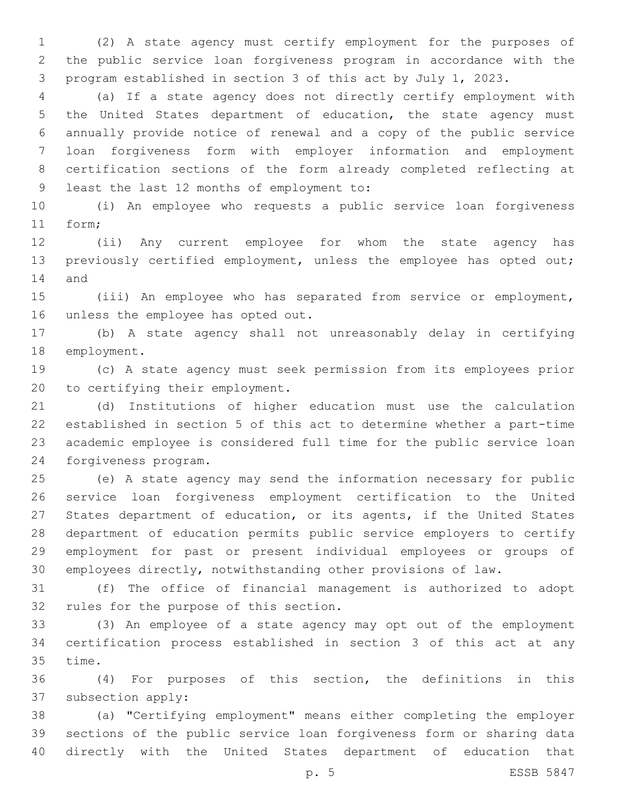(2) A state agency must certify employment for the purposes of the public service loan forgiveness program in accordance with the program established in section 3 of this act by July 1, 2023.

 (a) If a state agency does not directly certify employment with the United States department of education, the state agency must annually provide notice of renewal and a copy of the public service loan forgiveness form with employer information and employment certification sections of the form already completed reflecting at 9 least the last 12 months of employment to:

 (i) An employee who requests a public service loan forgiveness 11 form;

 (ii) Any current employee for whom the state agency has previously certified employment, unless the employee has opted out; 14 and

 (iii) An employee who has separated from service or employment, 16 unless the employee has opted out.

 (b) A state agency shall not unreasonably delay in certifying 18 employment.

 (c) A state agency must seek permission from its employees prior 20 to certifying their employment.

 (d) Institutions of higher education must use the calculation established in section 5 of this act to determine whether a part-time academic employee is considered full time for the public service loan 24 forgiveness program.

 (e) A state agency may send the information necessary for public service loan forgiveness employment certification to the United States department of education, or its agents, if the United States department of education permits public service employers to certify employment for past or present individual employees or groups of employees directly, notwithstanding other provisions of law.

 (f) The office of financial management is authorized to adopt 32 rules for the purpose of this section.

 (3) An employee of a state agency may opt out of the employment certification process established in section 3 of this act at any 35 time.

 (4) For purposes of this section, the definitions in this 37 subsection apply:

 (a) "Certifying employment" means either completing the employer sections of the public service loan forgiveness form or sharing data directly with the United States department of education that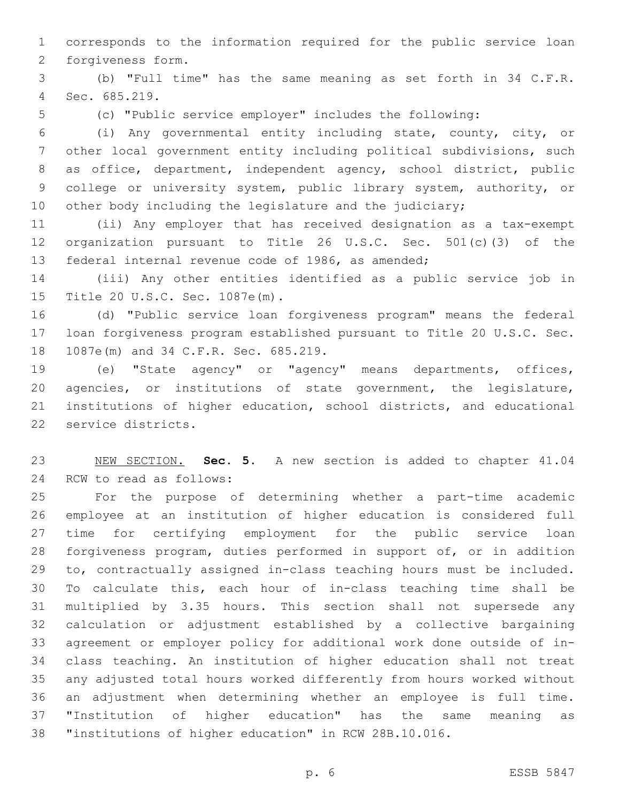corresponds to the information required for the public service loan 2 forgiveness form.

 (b) "Full time" has the same meaning as set forth in 34 C.F.R. Sec. 685.219.4

(c) "Public service employer" includes the following:

 (i) Any governmental entity including state, county, city, or other local government entity including political subdivisions, such as office, department, independent agency, school district, public college or university system, public library system, authority, or 10 other body including the legislature and the judiciary;

 (ii) Any employer that has received designation as a tax-exempt organization pursuant to Title 26 U.S.C. Sec. 501(c)(3) of the federal internal revenue code of 1986, as amended;

 (iii) Any other entities identified as a public service job in 15 Title 20 U.S.C. Sec. 1087e(m).

 (d) "Public service loan forgiveness program" means the federal loan forgiveness program established pursuant to Title 20 U.S.C. Sec. 18 1087e(m) and 34 C.F.R. Sec. 685.219.

 (e) "State agency" or "agency" means departments, offices, agencies, or institutions of state government, the legislature, institutions of higher education, school districts, and educational 22 service districts.

 NEW SECTION. **Sec. 5.** A new section is added to chapter 41.04 24 RCW to read as follows:

 For the purpose of determining whether a part-time academic employee at an institution of higher education is considered full time for certifying employment for the public service loan forgiveness program, duties performed in support of, or in addition to, contractually assigned in-class teaching hours must be included. To calculate this, each hour of in-class teaching time shall be multiplied by 3.35 hours. This section shall not supersede any calculation or adjustment established by a collective bargaining agreement or employer policy for additional work done outside of in- class teaching. An institution of higher education shall not treat any adjusted total hours worked differently from hours worked without an adjustment when determining whether an employee is full time. "Institution of higher education" has the same meaning as "institutions of higher education" in RCW 28B.10.016.